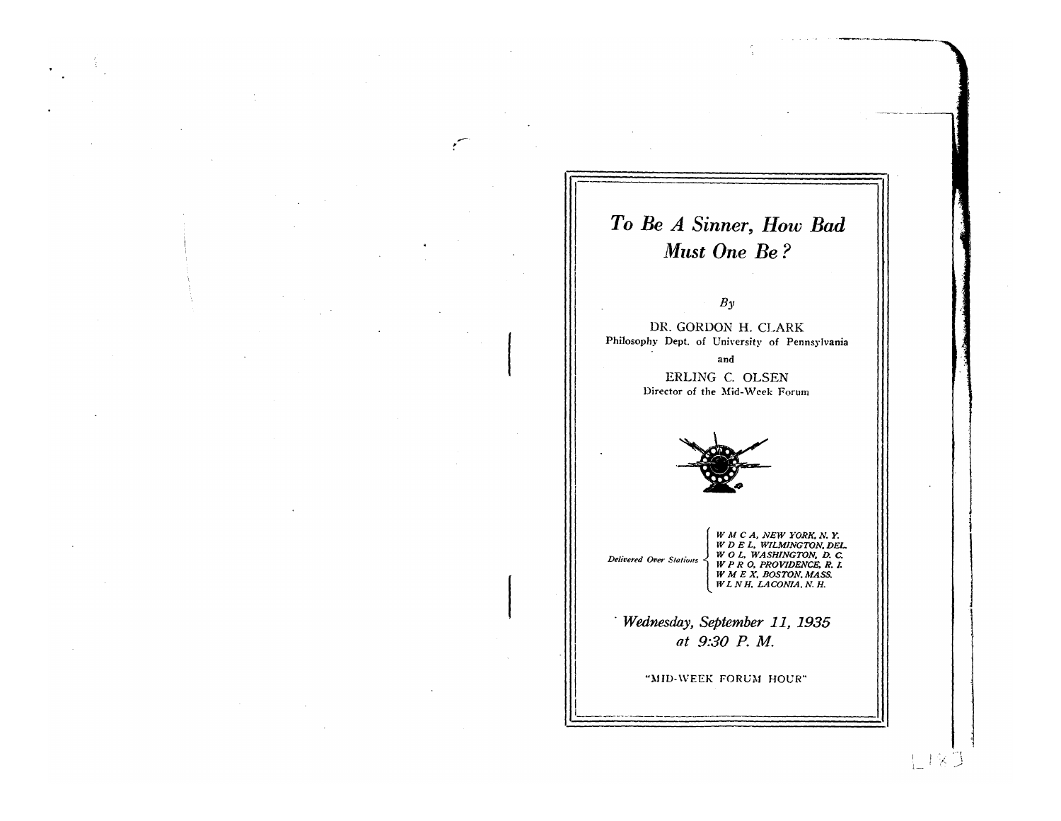# To Be A Sinner, How Bad Must One Be?

### $By$

DR. GORDON H. CLARK Philosophy Dept. of University of Pennsylvania

> and ERLING C. OLSEN Director of the Mid-Week Forum



W M C A, NEW YORK, N.Y.<br>W D E L, WILMINGTON, DEL.<br>W O L, WASHINGTON, D.C.<br>W P R O, PROVIDENCE, R.I.<br>W M E X, BOSTON, MASS.<br>W L N H, LACONIA, N.H. Delivered Over Stations

Wednesday, September 11, 1935 at 9:30 P.M.

"MID-WEEK FORUM HOUR"

LIXJ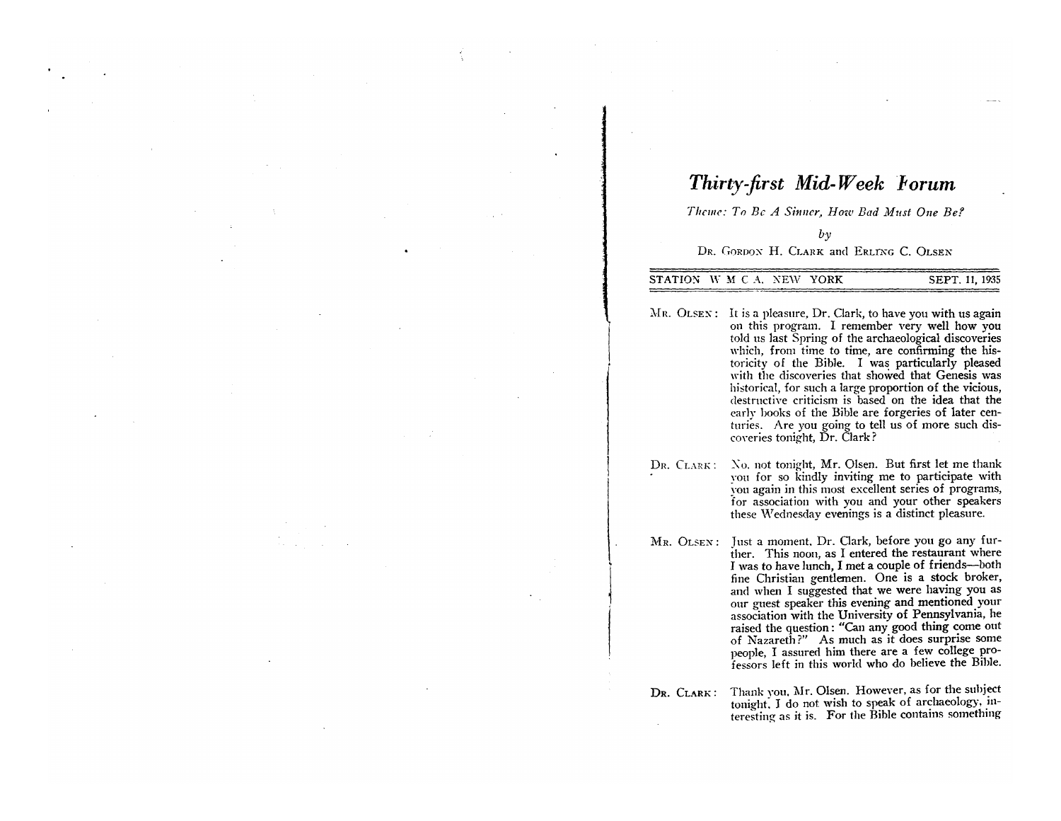## *Thirty-jirst Mid-Week Forum*

*Theme: To Be A Sinner, How Bad Must One Be?* 

 $b<sub>y</sub>$ 

#### DR. GORDON H. CLARK and ERLING C. OLSEN

STATION W M C A. NEW YORK SEPT. 11, 1935

 $Mr. OLSEN:$  It is a pleasure, Dr. Clark, to have you with us again on this program. I remember very well how you told us last Spring of the archaeological discoveries which, from time to time, are confirming the historicity of the Bible. I was particularly pleased with the discoveries that showed that Genesis was historical, for such a large proportion of the vicious, destructive criticism is based on the idea that the early books of the Bible are forgeries of later centuries. Are you going to tell us of more such discoveries tonight, Dr. Clark?

DR. CLARK: No. not tonight, Mr. Olsen. But first let me thank you for so kindly inviting me to participate with you again in this most excellent series of programs, for association with you and your other speakers these Wednesday evenings is a distinct pleasure.

! I

l

MR. OLSEN: Just a moment. Dr. Clark, before you go any further. This noon, as I entered the restaurant where I was to have lunch, I met a couple of friends-both fine Christian gentlemen. One is a stock broker, and when I suggested that we were having you as onr guest speaker this evening and mentioned your association with the University of Pennsylvania, he raised the question: "Can any good thing come out of Nazareth?" As much as it does surprise some people, I assured him there are a few college professors left in this world who do believe the Bible.

DR. CLARK: Thank you. Mr. Olsen. However, as for the suhject tonight. J do not wish to speak of archaeology, interesting as it is. For the Bible contains something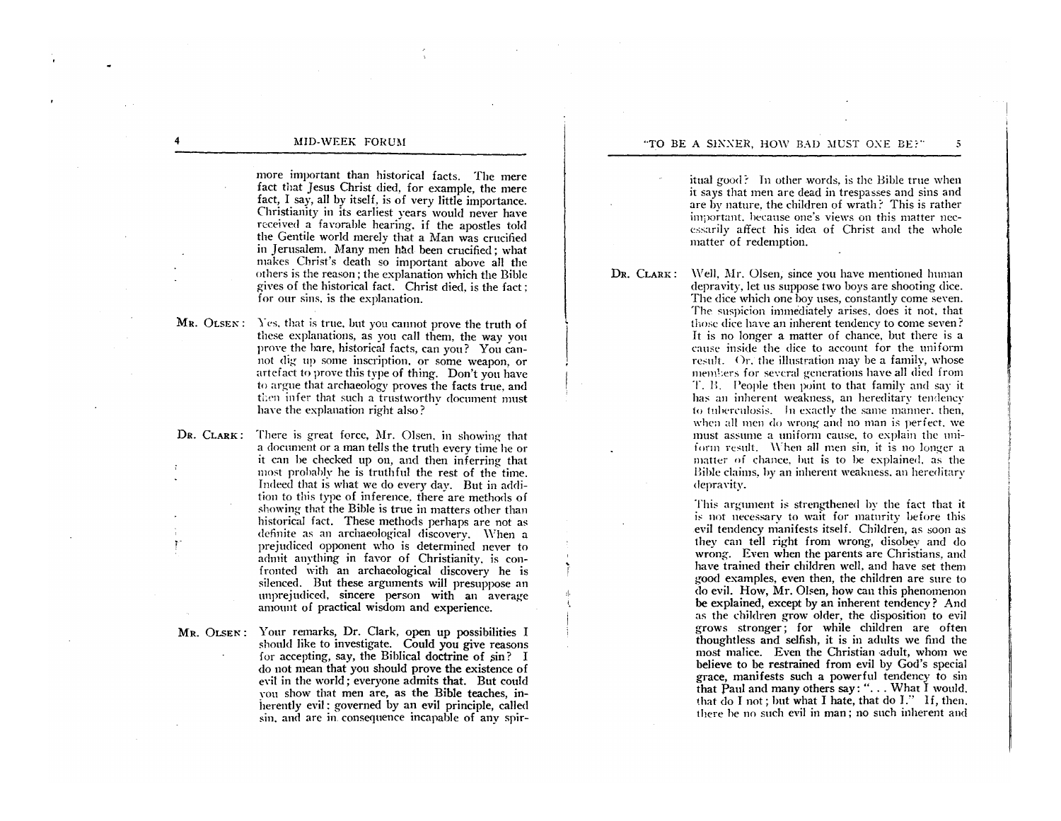more important than historical facts. The mere fact that Jesus Christ died, for example, the mere fact, I say, all by itself, is of very little importance. Christianity in its earliest years would never have received a fayorahle hearing. if the apostles told the Gentile world merely that a Man was crucified in Jerusalem. Many men had been crucified; what makes Christ's death so important above all the others is the reason; the explanation which the Bible gives of the historical fact. Christ died. is the fact: for our sins. is the explanation.

MR. OLSEN: Yes, that is true, but you cannot prove the truth of these explanations, as you call them, the way yon proye the hare, historical facts, can you ? You cannot dig- up some inscription. or some weapon, or arteiact to prove this type of thing. Don't you have to argue that archaeology proves the facts true, and then infer that such a trustworthy document must have the explanation right also?

DR. CLARK: There is great force, Mr. Olsen. in showing that a document or a man tells the truth every time he or it can be checked up on, and then inferring that most probably he is truthful the rest of the time. Indeed that is what we do every day. But in addition to this type of inference, there are methods of showing that the Bible is true in matters other than historical fact. These methods perhaps are not as definite as an archaeological discoverv. \\'hen a prejudiced opponent who is determined never to admit anything in favor of Christianity. is confronted with an archaeological discovery he is silenced. But these arguments wiII presuppose an unprejudiced, sincere person with an average amount of practical wisdom and experience.

r-

MR. OLSEN: Your remarks, Dr. Clark, open up possibilities I should like to investigate. Could you give reasons for accepting, say, the Biblical doctrine of  $\sin$ ? I do not mean that you should prove the existence of evil in the world; everyone admits that. But could YOU show that men are, as the Bible teaches, inherently evil: governed by an evil principle, called sin. and are in consequence incapable of any spir-

itual good? In other words, is the Bible true when it says that men are dead in trespasses and sins and are by nature. the children of wrath? This is rather important. hecause one's views on this matter necessarily affect his idea of Christ and the whole matter of redemption.

Well. Mr. Olsen, since you have mentioned human

DR. CLARK:

I ,I,

depravity, let us suppose two boys are shooting dice. The dice which one boy uses, constantly come seven. The suspicion immediately arises, does it not, that those dice have an inherent tendency to come seven? It is no longer a matter of chance, but there is a cause inside the dice to account for the uniform result. Or. the illustration may be a family, whose members for several generations have all died from T. H. People then point to that family and say it has an inherent weakness, an hereditary tendency to tuberculosis. In exactly the same manner, then, when all men do wrong and no man is perfect, we must assume a uniform cause, to explain the uniform result. When all men sin, it is no longer a matter of chance, hut is to he explained. as the Bible claims. hy an inherent weakness. an hereditary depravity.

This argument is strengthened by the fact that it is not necessary to wait for maturity before this evil tendency manifests itself. Children, as soon as they can tell right from wrong, disobey and do wrong. Even when the parents are Christians, and have trained their children well, and have set them good examples, even then, the children are sure to do evil. How, Mr. Olsen, how can this phenomenon be explained, except by an inherent tendency? And as the children grow older, the disposition to evil grows stronger; for while children are often thoughtless and selfish, it is in adults we find the most malice. Even the Christian ·adult, whom we believe to be restrained from evil by God's special grace, manifests such a powerful tendency to sin that Paul and many others say: " $\dots$  What I would. that do I not; but what I hate, that do 1." If, then. there he no such evil in man; no such inherent and

4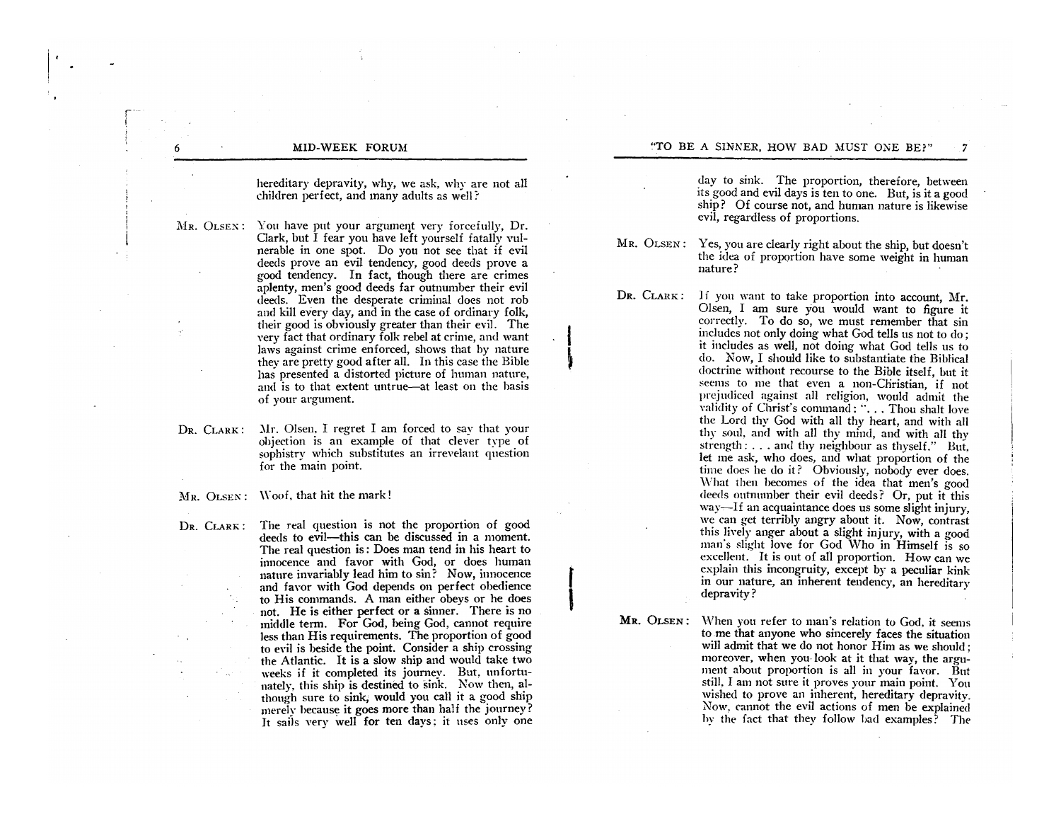r- (

> hereditary depravity, why, we ask, why are not all children perfect, and many adults as welI ?

- MR. OLSEX: You have put your argument very forcefully, Dr. Clark, but I fear you have left yourself fatally vulnerable in one spot. Do you not see that if evil deeds prove an evil tendency, good deeds prove a good tendency. In fact, though there are crimes aplenty, men's good deeds far outnumber their evil deeds. Even the desperate criminal does not rob and kill every day, and in the case of ordinary folk, their good is obviously greater than their evil. The very fact that ordinary folk rebel at crime, and want laws against crime enforced, shows that by nature they are pretty good after all. In this case the Bible has presented a distorted picture of human nature, and is to that extent untrue-at least on the basis of your argument.
- DR. CLARK:  $Mr.$  Olsen, I regret I am forced to say that your objection is an example of that clever type of sophistry which substitutes an irrevelant question for the main point.
- MR. OLSEN: Woof, that hit the mark!
- DR. CLARK: The real question is not the proportion of good deeds to evil--this can be discussed in a moment. The real question is: Does man tend in his heart to innocence and favor with God, or does human nature invariably lead him to sin? Now, innocence and favor with God depends on perfect obedience to His commands. A man either obevs or he does not. He is either perfect or a sinner. There is no middle term. For God, being God, cannot require less than His requirements. The proportion of good to evil is beside the point. Consider a ship crossing the Atlantic. It is a slow ship and would take two weeks if it completed its journey. But, unfortunately, this ship is destined to sink. Now then, although sure to sink; would you call it a good ship merely because it goes more than half the journey? It sails very well for ten days: it uses only one

day to sink. The proportion, therefore, between its good and evil days is ten to one. But, is it a good ship? Of course not, and human nature is likewise evil, regardless of proportions.

MR. OLSEN: Yes, you are clearly right about the ship, but doesn't the idea of proportion have some weight in human nature?

DR. CLARK: If you want to take proportion into account. Mr.

I

 $\mathbf{r}$  $\mathbf{I}$ 

Olsen, I am sure you would want to figure it correctly. To do so, we must remember that sin includes not only doing what God tells us not to do; it includes as well, not doing what God tells us to do. Now, I should like to substantiate the Biblical doctrine without recourse to the Bible itself, but it seems to me that even a non-Christian, if not prejudiced against all religion, would admit the validity of Christ's command: "... Thou shalt love the Lord thy God with all thy heart, and with all thy soul, and with all thy mind, and with all thy strength: ... and thy neighbour as thyself." But, let me ask, who does, and what proportion of the time does he do it? Obviously, nobody ever does. What then becomes of the idea that men's good deeds outnnmber their evil deeds? Or, put it this way-If an acquaintance does us some slight injury, we can get terribly angry about it. Now, contrast this liwly anger about a slight injury, with a good man's slight love for God Who in Himself is so excellent. It is out of all proportion. How can we explain this incongruity, except by a peculiar kink in our nature, an inherent tendency, an hereditary depravity?

MR. OLSEN: When you refer to man's relation to God, it seems tome that anyone who sincerely faces the situation will admit that we do not honor Him as we should; moreover, when you-look at it that way, the argument about proportion is all in your favor. But still, I am not sure it proves your main point. Yon wished to prove an inherent, hereditary depravity. Now. cannot the evil actions of men be explained hv the fact that they follow had examples? The